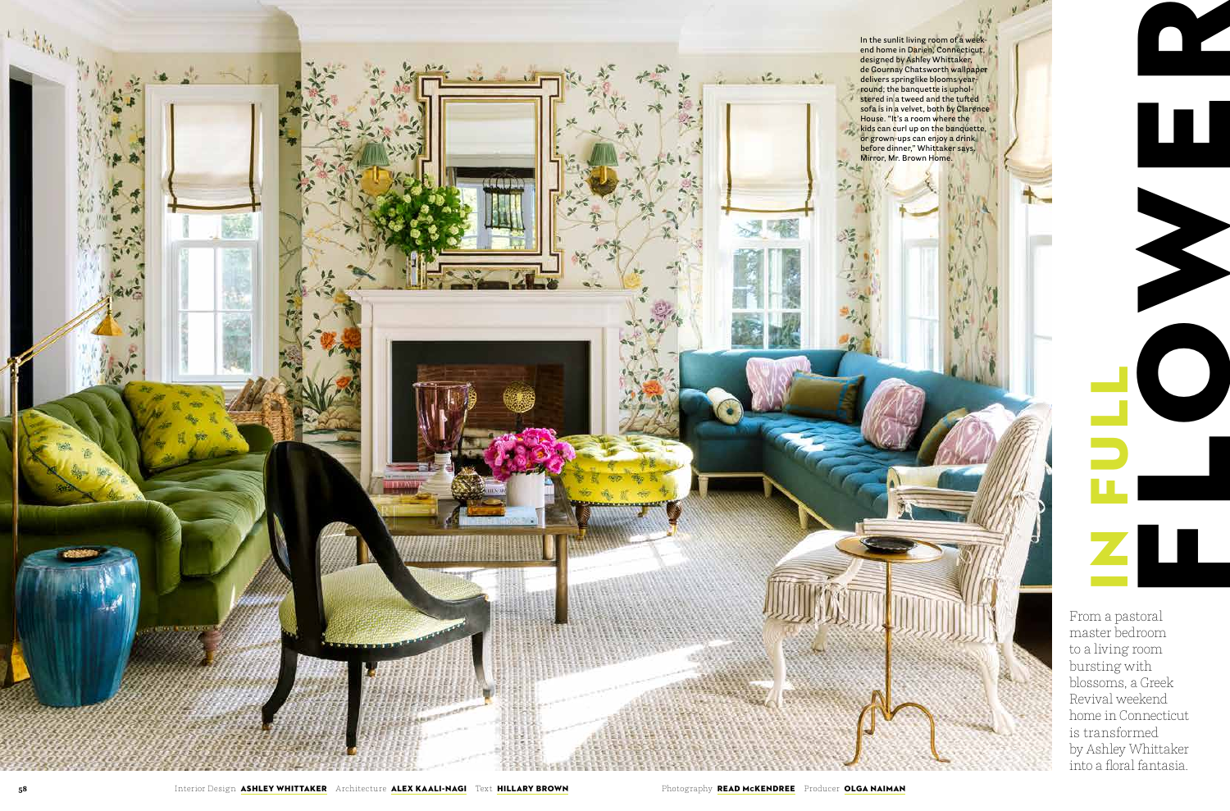

From a pastoral to a living room bursting with blossoms, a Greek Revival weekend home in Connecticut is transformed by Ashley Whittaker into a floral fantasia.

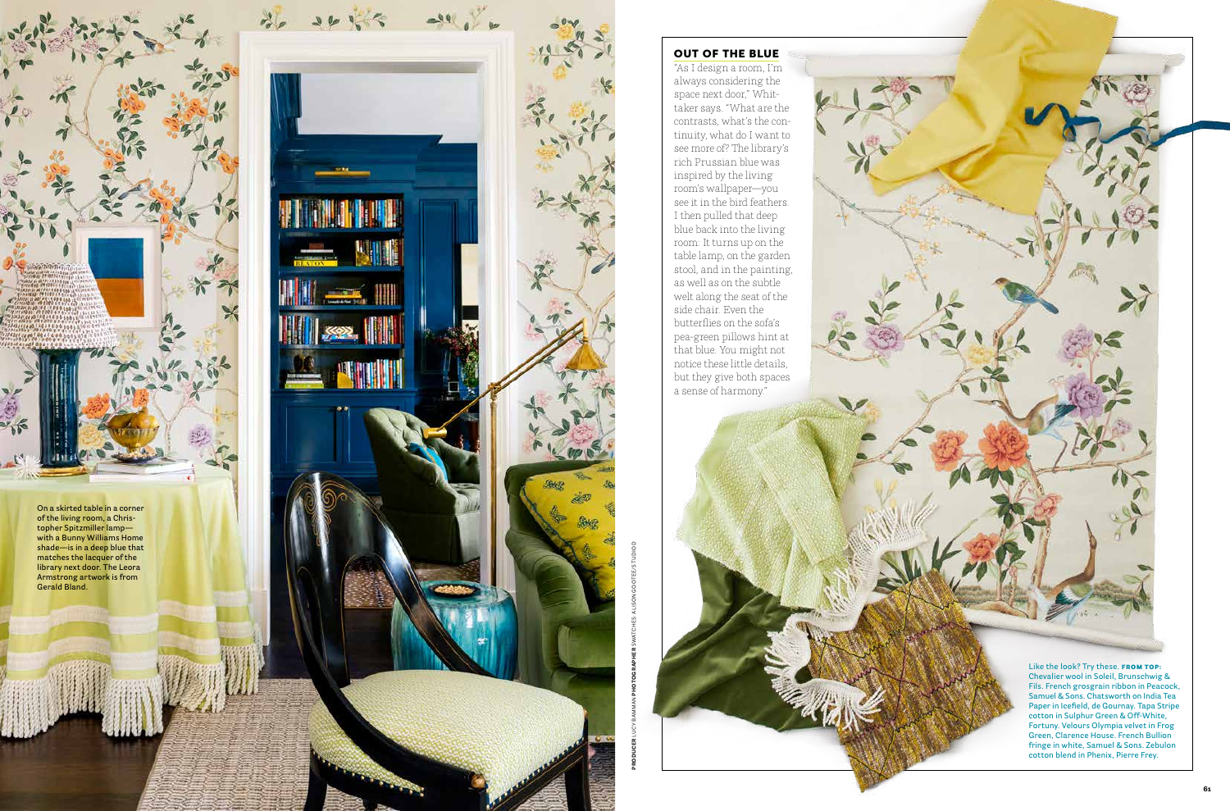**PRODUCER** LUCY BAMMAN **PHOTOGRAPHER** SWATCHES: ALISON GOOTEE/STUDIO D

## **OUT OF THE BLUE**

"As I design a room, I'm always considering the space next door," Whit taker says. "What are the contrasts, what's the con tinuity, what do I want to see more of? The library's rich Prussian blue was inspired by the living room's wallpaper—you see it in the bird feathers. I then pulled that deep blue back into the living room: It turns up on the table lamp, on the garden stool, and in the painting, as well as on the subtle welt along the seat of the side chair. Even the butterflies on the sofa's pea-green pillows hint at that blue. You might not notice these little details, but they give both spaces a sense of harmony."



Like the look? Try these. **FROM TOP: Chevalier wool in Soleil, Brunschwig & Fils. French grosgrain ribbon in Peacock, Samuel & Sons. Chatsworth on India Tea Paper in Icefield, de Gournay. Tapa Stripe cotton in Sulphur Green & Off-White, Fortuny. Velours Olympia velvet in Frog Green, Clarence House. French Bullion fringe in white, Samuel & Sons. Zebulon cotton blend in Phenix, Pierre Frey.**



**On a skirted table in a corner of the living room, a Chris topher Spitzmiller lamp with a Bunny Williams Home shade—is in a deep blue that matches the lacquer of the library next door. The Leora Armstrong artwork is from Gerald Bland.**

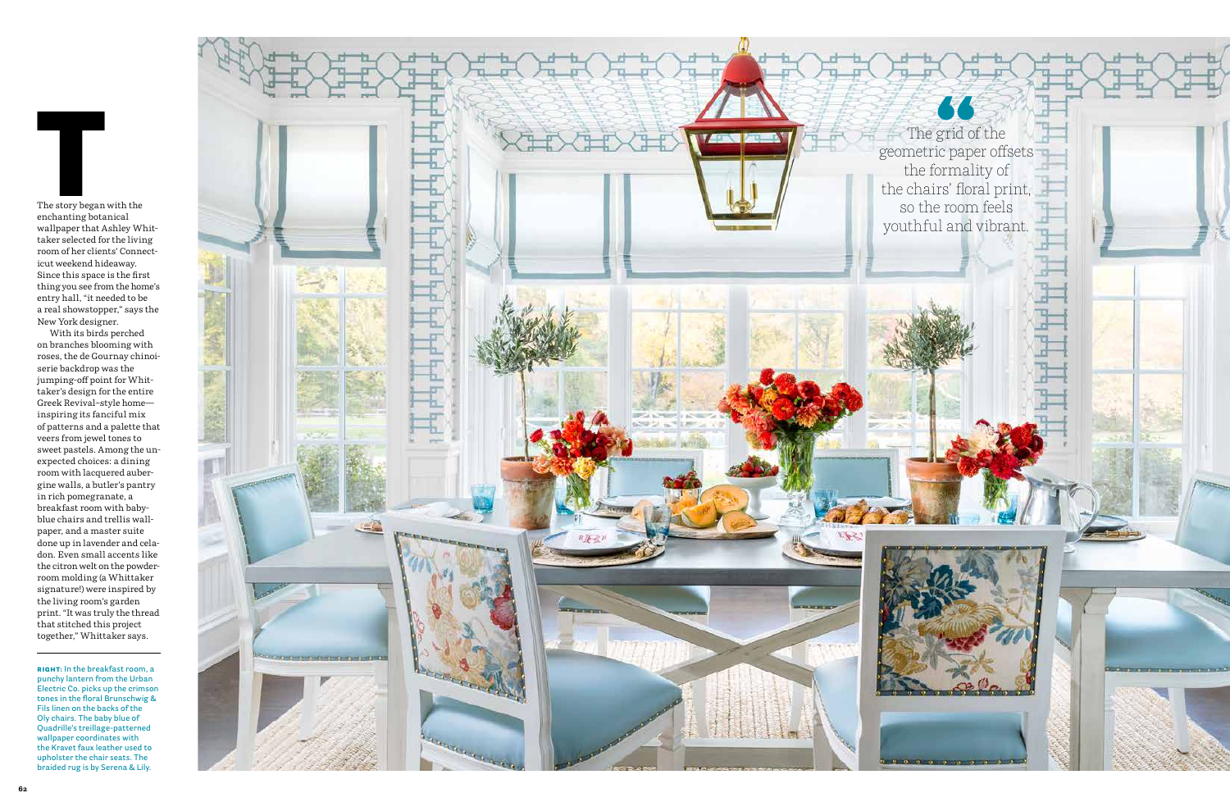The story began with the enchanting botanical wallpaper that Ashley Whit taker selected for the living room of her clients' Connect icut weekend hideaway. Since this space is the first thing you see from the home's entry hall, "it needed to be a real showstopper," says the New York designer.

With its birds perched on branches blooming with roses, the de Gournay chinoi serie backdrop was the jumping-off point for Whit taker's design for the entire Greek Revival–style home inspiring its fanciful mix of patterns and a palette that veers from jewel tones to sweet pastels. Among the unexpected choices: a dining room with lacquered auber gine walls, a butler's pantry in rich pomegranate, a breakfast room with babyblue chairs and trellis wall paper, and a master suite done up in lavender and cela don. Even small accents like the citron welt on the powderroom molding (a Whittaker signature!) were inspired by the living room's garden print. "It was truly the thread that stitched this project together," Whittaker says.

RIGHT: **In the breakfast room, a punchy lantern from the Urban Electric Co. picks up the crimson tones in the floral Brunschwig & Fils linen on the backs of the Oly chairs. The baby blue of Quadrille's treillage-patterned wallpaper coordinates with the Kravet faux leather used to upholster the chair seats. The** 



The grid of the geometric paper offsets the formality of the chairs' floral print, so the room feels youthful and vibrant.